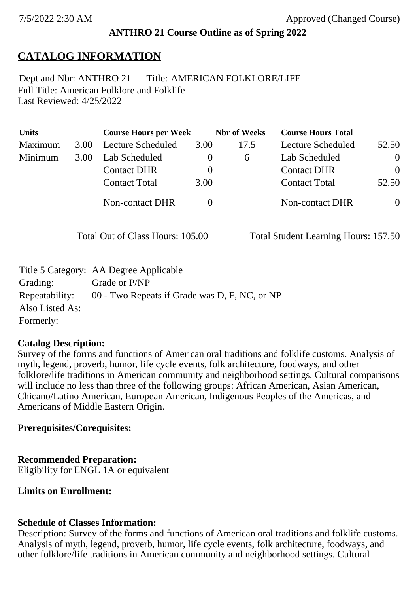#### **ANTHRO 21 Course Outline as of Spring 2022**

# **CATALOG INFORMATION**

Full Title: American Folklore and Folklife Last Reviewed: 4/25/2022 Dept and Nbr: ANTHRO 21 Title: AMERICAN FOLKLORE/LIFE

| <b>Units</b> |      | <b>Course Hours per Week</b> |          | <b>Nbr</b> of Weeks | <b>Course Hours Total</b> |                |
|--------------|------|------------------------------|----------|---------------------|---------------------------|----------------|
| Maximum      | 3.00 | Lecture Scheduled            | 3.00     | 17.5                | Lecture Scheduled         | 52.50          |
| Minimum      | 3.00 | Lab Scheduled                | $\theta$ | $\sigma$            | Lab Scheduled             | $\overline{0}$ |
|              |      | <b>Contact DHR</b>           | $\theta$ |                     | <b>Contact DHR</b>        | $\Omega$       |
|              |      | <b>Contact Total</b>         | 3.00     |                     | <b>Contact Total</b>      | 52.50          |
|              |      | <b>Non-contact DHR</b>       |          |                     | Non-contact DHR           | $\overline{0}$ |

Total Out of Class Hours: 105.00 Total Student Learning Hours: 157.50

|                 | Title 5 Category: AA Degree Applicable        |
|-----------------|-----------------------------------------------|
| Grading:        | Grade or P/NP                                 |
| Repeatability:  | 00 - Two Repeats if Grade was D, F, NC, or NP |
| Also Listed As: |                                               |
| Formerly:       |                                               |

#### **Catalog Description:**

Survey of the forms and functions of American oral traditions and folklife customs. Analysis of myth, legend, proverb, humor, life cycle events, folk architecture, foodways, and other folklore/life traditions in American community and neighborhood settings. Cultural comparisons will include no less than three of the following groups: African American, Asian American, Chicano/Latino American, European American, Indigenous Peoples of the Americas, and Americans of Middle Eastern Origin.

#### **Prerequisites/Corequisites:**

#### **Recommended Preparation:**

Eligibility for ENGL 1A or equivalent

**Limits on Enrollment:**

## **Schedule of Classes Information:**

Description: Survey of the forms and functions of American oral traditions and folklife customs. Analysis of myth, legend, proverb, humor, life cycle events, folk architecture, foodways, and other folklore/life traditions in American community and neighborhood settings. Cultural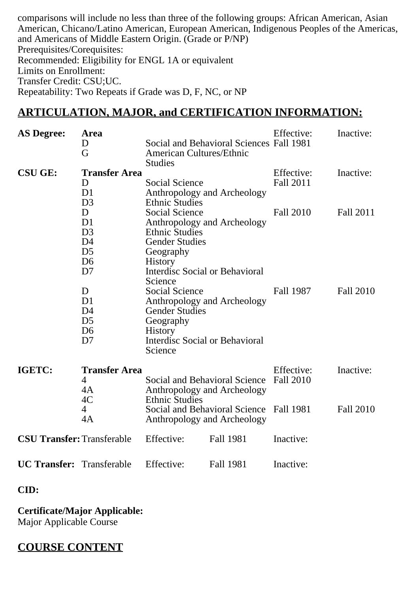comparisons will include no less than three of the following groups: African American, Asian American, Chicano/Latino American, European American, Indigenous Peoples of the Americas, and Americans of Middle Eastern Origin. (Grade or P/NP) Prerequisites/Corequisites: Recommended: Eligibility for ENGL 1A or equivalent Limits on Enrollment: Transfer Credit: CSU;UC. Repeatability: Two Repeats if Grade was D, F, NC, or NP

#### **ARTICULATION, MAJOR, and CERTIFICATION INFORMATION:**

| <b>AS Degree:</b>                 | Area<br>D<br>G                                                                                                                                                                       | <b>American Cultures/Ethnic</b><br><b>Studies</b>                                                                                                                                                                                                                                 | Social and Behavioral Sciences Fall 1981                     | Effective:                     | Inactive:              |
|-----------------------------------|--------------------------------------------------------------------------------------------------------------------------------------------------------------------------------------|-----------------------------------------------------------------------------------------------------------------------------------------------------------------------------------------------------------------------------------------------------------------------------------|--------------------------------------------------------------|--------------------------------|------------------------|
| <b>CSU GE:</b>                    | <b>Transfer Area</b><br>D<br>D <sub>1</sub><br>D <sub>3</sub>                                                                                                                        | Social Science<br><b>Ethnic Studies</b>                                                                                                                                                                                                                                           | Anthropology and Archeology                                  | Effective:<br>Fall 2011        | Inactive:              |
|                                   | D<br>D <sub>1</sub><br>D <sub>3</sub><br>D <sub>4</sub><br>D <sub>5</sub><br>D <sub>6</sub><br>D7<br>D<br>D <sub>1</sub><br>D <sub>4</sub><br>D <sub>5</sub><br>D <sub>6</sub><br>D7 | <b>Social Science</b><br><b>Ethnic Studies</b><br><b>Gender Studies</b><br>Geography<br><b>History</b><br>Interdisc Social or Behavioral<br>Science<br>Social Science<br><b>Gender Studies</b><br>Geography<br><b>History</b><br><b>Interdisc Social or Behavioral</b><br>Science | Anthropology and Archeology<br>Anthropology and Archeology   | <b>Fall 2010</b><br>Fall 1987  | Fall 2011<br>Fall 2010 |
| IGETC:                            | <b>Transfer Area</b><br>4<br>4A                                                                                                                                                      |                                                                                                                                                                                                                                                                                   | Social and Behavioral Science<br>Anthropology and Archeology | Effective:<br><b>Fall 2010</b> | Inactive:              |
|                                   | 4C<br>$\overline{4}$<br>4A                                                                                                                                                           | <b>Ethnic Studies</b>                                                                                                                                                                                                                                                             | Social and Behavioral Science<br>Anthropology and Archeology | Fall 1981                      | Fall 2010              |
| <b>CSU Transfer: Transferable</b> |                                                                                                                                                                                      | Effective:                                                                                                                                                                                                                                                                        | Fall 1981                                                    | Inactive:                      |                        |
| <b>UC Transfer:</b> Transferable  |                                                                                                                                                                                      | Effective:                                                                                                                                                                                                                                                                        | <b>Fall 1981</b>                                             | Inactive:                      |                        |

**CID:**

**Certificate/Major Applicable:**  [Major Applicable Course](SR_ClassCheck.aspx?CourseKey=ANTHRO21)

## **COURSE CONTENT**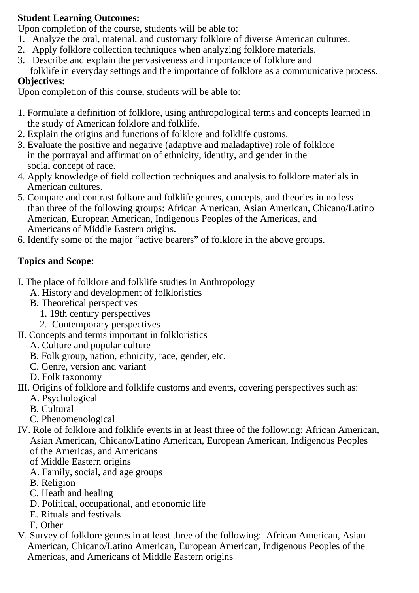## **Student Learning Outcomes:**

Upon completion of the course, students will be able to:

- 1. Analyze the oral, material, and customary folklore of diverse American cultures.
- 2. Apply folklore collection techniques when analyzing folklore materials.
- 3. Describe and explain the pervasiveness and importance of folklore and
- folklife in everyday settings and the importance of folklore as a communicative process. **Objectives:**

Upon completion of this course, students will be able to:

- 1. Formulate a definition of folklore, using anthropological terms and concepts learned in the study of American folklore and folklife.
- 2. Explain the origins and functions of folklore and folklife customs.
- 3. Evaluate the positive and negative (adaptive and maladaptive) role of folklore in the portrayal and affirmation of ethnicity, identity, and gender in the social concept of race.
- 4. Apply knowledge of field collection techniques and analysis to folklore materials in American cultures.
- 5. Compare and contrast folkore and folklife genres, concepts, and theories in no less than three of the following groups: African American, Asian American, Chicano/Latino American, European American, Indigenous Peoples of the Americas, and Americans of Middle Eastern origins.
- 6. Identify some of the major "active bearers" of folklore in the above groups.

# **Topics and Scope:**

- I. The place of folklore and folklife studies in Anthropology
	- A. History and development of folkloristics
	- B. Theoretical perspectives
		- 1. 19th century perspectives
		- 2. Contemporary perspectives
- II. Concepts and terms important in folkloristics
	- A. Culture and popular culture
	- B. Folk group, nation, ethnicity, race, gender, etc.
	- C. Genre, version and variant
	- D. Folk taxonomy
- III. Origins of folklore and folklife customs and events, covering perspectives such as:
	- A. Psychological
	- B. Cultural
	- C. Phenomenological
- IV. Role of folklore and folklife events in at least three of the following: African American, Asian American, Chicano/Latino American, European American, Indigenous Peoples of the Americas, and Americans
	- of Middle Eastern origins
	- A. Family, social, and age groups
	- B. Religion
	- C. Heath and healing
	- D. Political, occupational, and economic life
	- E. Rituals and festivals
	- F. Other
- V. Survey of folklore genres in at least three of the following: African American, Asian American, Chicano/Latino American, European American, Indigenous Peoples of the Americas, and Americans of Middle Eastern origins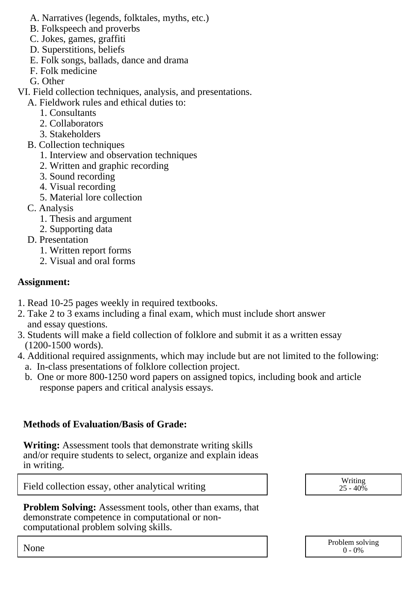- A. Narratives (legends, folktales, myths, etc.)
- B. Folkspeech and proverbs
- C. Jokes, games, graffiti
- D. Superstitions, beliefs
- E. Folk songs, ballads, dance and drama
- F. Folk medicine
- G. Other

VI. Field collection techniques, analysis, and presentations.

- A. Fieldwork rules and ethical duties to:
	- 1. Consultants
	- 2. Collaborators
	- 3. Stakeholders
- B. Collection techniques
	- 1. Interview and observation techniques
	- 2. Written and graphic recording
	- 3. Sound recording
	- 4. Visual recording
	- 5. Material lore collection
- C. Analysis
	- 1. Thesis and argument
	- 2. Supporting data
- D. Presentation
	- 1. Written report forms
	- 2. Visual and oral forms

## **Assignment:**

- 1. Read 10-25 pages weekly in required textbooks.
- 2. Take 2 to 3 exams including a final exam, which must include short answer and essay questions.
- 3. Students will make a field collection of folklore and submit it as a written essay (1200-1500 words).
- 4. Additional required assignments, which may include but are not limited to the following: a. In-class presentations of folklore collection project.
	- b. One or more 800-1250 word papers on assigned topics, including book and article response papers and critical analysis essays.

# **Methods of Evaluation/Basis of Grade:**

**Writing:** Assessment tools that demonstrate writing skills and/or require students to select, organize and explain ideas in writing.

Field collection essay, other analytical writing  $\begin{array}{ccc} \hline \end{array}$   $\begin{array}{ccc} \hline \end{array}$  Writing  $\begin{array}{ccc} \hline \end{array}$ 

**Problem Solving:** Assessment tools, other than exams, that demonstrate competence in computational or noncomputational problem solving skills.

 $25 - 40\%$